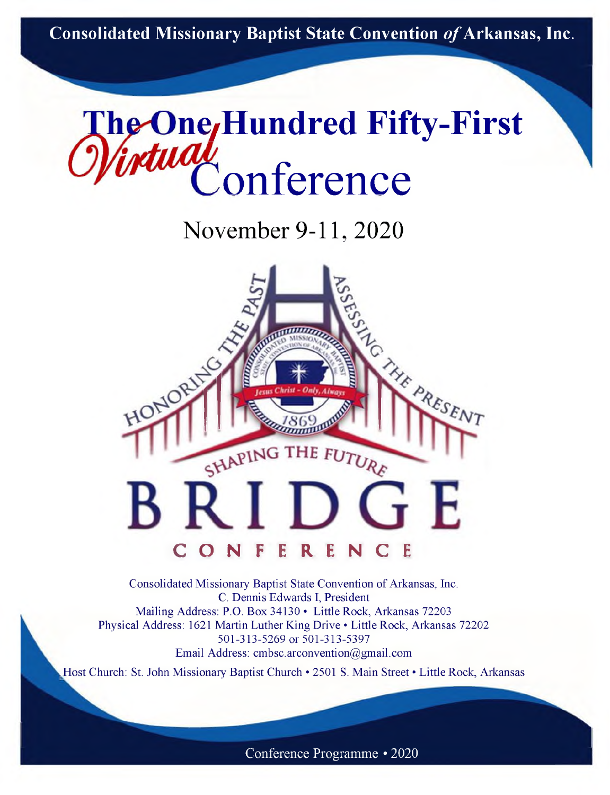**Consolidated Missionary Baptist State Convention** *of***Arkansas, Inc.**



November 9-11, 2020



Consolidated Missionary Baptist State Convention of Arkansas, Inc. C. Dennis Edwards I, President Mailing Address: P.O. Box 34130 • Little Rock, Arkansas 72203 Physical Address: 1621 Martin Luther King Drive • Little Rock, Arkansas 72202 501-313-5269 or 501-313-5397 Email Address: [cmbsc.arconvention@gmail.com](mailto:cmbsc.arconvention@gmail.com)

Host Church: St. John Missionary Baptist Church • 2501 S. Main Street • Little Rock, Arkansas

Conference Programme • 2020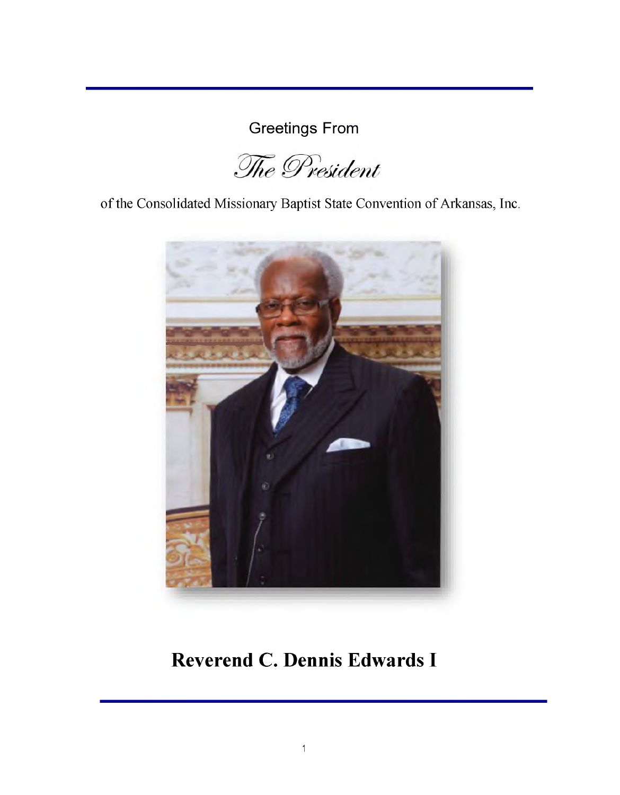Greetings From

The President

of the Consolidated Missionary Baptist State Convention of Arkansas, Inc.



# **Reverend C. Dennis Edwards I**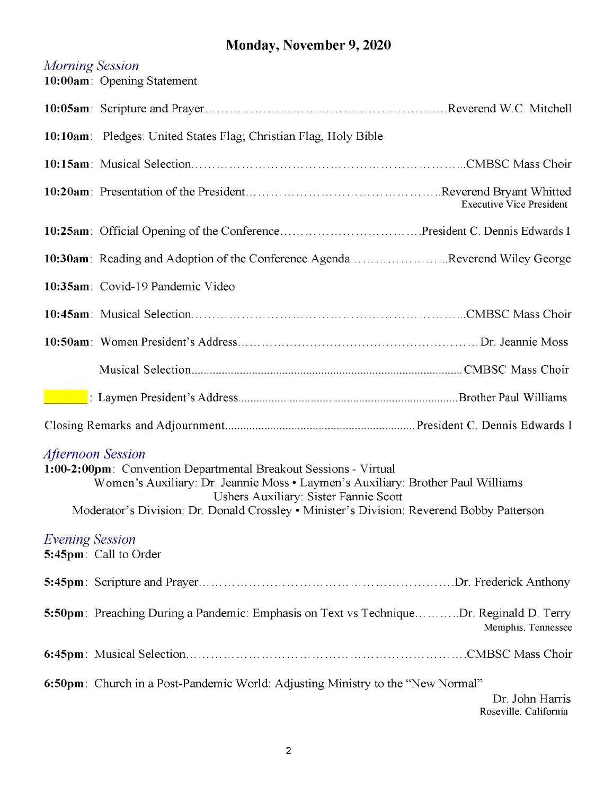## **Monday, November 9, 2020**

|                                                                                                                                                                                                                                                                                                                       | <b>Morning Session</b><br>10:00am: Opening Statement                                                          |  |
|-----------------------------------------------------------------------------------------------------------------------------------------------------------------------------------------------------------------------------------------------------------------------------------------------------------------------|---------------------------------------------------------------------------------------------------------------|--|
|                                                                                                                                                                                                                                                                                                                       |                                                                                                               |  |
|                                                                                                                                                                                                                                                                                                                       | 10:10am: Pledges: United States Flag; Christian Flag, Holy Bible                                              |  |
|                                                                                                                                                                                                                                                                                                                       |                                                                                                               |  |
|                                                                                                                                                                                                                                                                                                                       | <b>Executive Vice President</b>                                                                               |  |
|                                                                                                                                                                                                                                                                                                                       |                                                                                                               |  |
|                                                                                                                                                                                                                                                                                                                       | 10:30am: Reading and Adoption of the Conference AgendaReverend Wiley George                                   |  |
|                                                                                                                                                                                                                                                                                                                       | 10:35am: Covid-19 Pandemic Video                                                                              |  |
|                                                                                                                                                                                                                                                                                                                       |                                                                                                               |  |
|                                                                                                                                                                                                                                                                                                                       |                                                                                                               |  |
|                                                                                                                                                                                                                                                                                                                       |                                                                                                               |  |
|                                                                                                                                                                                                                                                                                                                       |                                                                                                               |  |
|                                                                                                                                                                                                                                                                                                                       |                                                                                                               |  |
| <b>Afternoon Session</b><br>1:00-2:00pm: Convention Departmental Breakout Sessions - Virtual<br>Women's Auxiliary: Dr. Jeannie Moss · Laymen's Auxiliary: Brother Paul Williams<br>Ushers Auxiliary: Sister Fannie Scott<br>Moderator's Division: Dr. Donald Crossley • Minister's Division: Reverend Bobby Patterson |                                                                                                               |  |
| <b>Evening Session</b>                                                                                                                                                                                                                                                                                                | 5:45pm: Call to Order                                                                                         |  |
|                                                                                                                                                                                                                                                                                                                       |                                                                                                               |  |
|                                                                                                                                                                                                                                                                                                                       | 5:50pm: Preaching During a Pandemic: Emphasis on Text vs TechniqueDr. Reginald D. Terry<br>Memphis, Tennessee |  |
|                                                                                                                                                                                                                                                                                                                       |                                                                                                               |  |
|                                                                                                                                                                                                                                                                                                                       | 6:50pm: Church in a Post-Pandemic World: Adjusting Ministry to the "New Normal"<br>Dr. John Harris            |  |

Roseville. California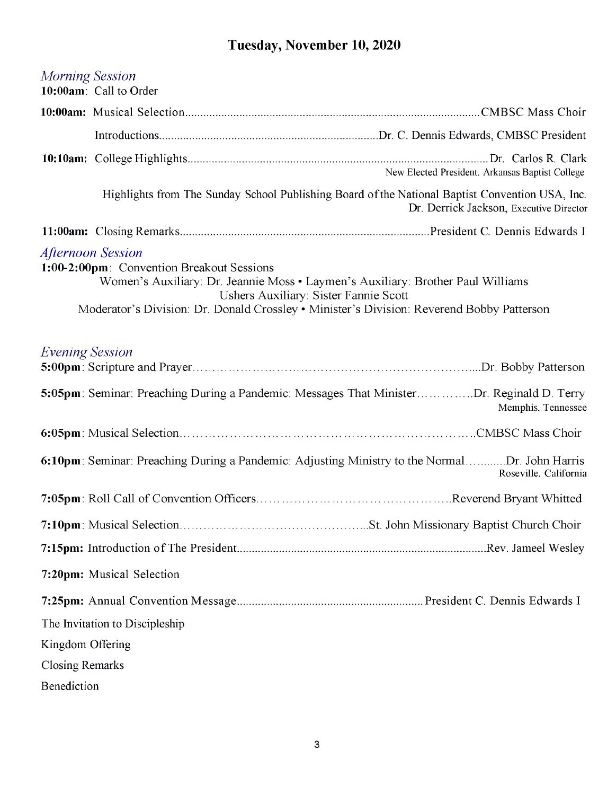## **Tuesday, November 10, 2020**

|                                                                                                                                                                                                                                                                                                | Morning Session<br>10:00am: Call to Order                                                       |                                                 |  |  |
|------------------------------------------------------------------------------------------------------------------------------------------------------------------------------------------------------------------------------------------------------------------------------------------------|-------------------------------------------------------------------------------------------------|-------------------------------------------------|--|--|
|                                                                                                                                                                                                                                                                                                |                                                                                                 |                                                 |  |  |
|                                                                                                                                                                                                                                                                                                |                                                                                                 |                                                 |  |  |
|                                                                                                                                                                                                                                                                                                |                                                                                                 | New Elected President. Arkansas Baptist College |  |  |
|                                                                                                                                                                                                                                                                                                | Highlights from The Sunday School Publishing Board of the National Baptist Convention USA, Inc. | Dr. Derrick Jackson, Executive Director         |  |  |
|                                                                                                                                                                                                                                                                                                |                                                                                                 |                                                 |  |  |
| <b>Afternoon Session</b><br>1:00-2:00pm: Convention Breakout Sessions<br>Women's Auxiliary: Dr. Jeannie Moss · Laymen's Auxiliary: Brother Paul Williams<br>Ushers Auxiliary: Sister Fannie Scott<br>Moderator's Division: Dr. Donald Crossley . Minister's Division: Reverend Bobby Patterson |                                                                                                 |                                                 |  |  |
| <i>Evening Session</i>                                                                                                                                                                                                                                                                         |                                                                                                 |                                                 |  |  |
|                                                                                                                                                                                                                                                                                                | 5:05pm: Seminar: Preaching During a Pandemic: Messages That MinisterDr. Reginald D. Terry       | Memphis, Tennessee                              |  |  |
|                                                                                                                                                                                                                                                                                                |                                                                                                 |                                                 |  |  |
|                                                                                                                                                                                                                                                                                                | 6:10pm: Seminar: Preaching During a Pandemic: Adjusting Ministry to the NormalDr. John Harris   | Roseville, California                           |  |  |
|                                                                                                                                                                                                                                                                                                |                                                                                                 |                                                 |  |  |
|                                                                                                                                                                                                                                                                                                |                                                                                                 |                                                 |  |  |
|                                                                                                                                                                                                                                                                                                |                                                                                                 |                                                 |  |  |
|                                                                                                                                                                                                                                                                                                | 7:20pm: Musical Selection                                                                       |                                                 |  |  |
|                                                                                                                                                                                                                                                                                                |                                                                                                 |                                                 |  |  |
|                                                                                                                                                                                                                                                                                                | The Invitation to Discipleship                                                                  |                                                 |  |  |
| Kingdom Offering                                                                                                                                                                                                                                                                               |                                                                                                 |                                                 |  |  |
| <b>Closing Remarks</b>                                                                                                                                                                                                                                                                         |                                                                                                 |                                                 |  |  |
| Benediction                                                                                                                                                                                                                                                                                    |                                                                                                 |                                                 |  |  |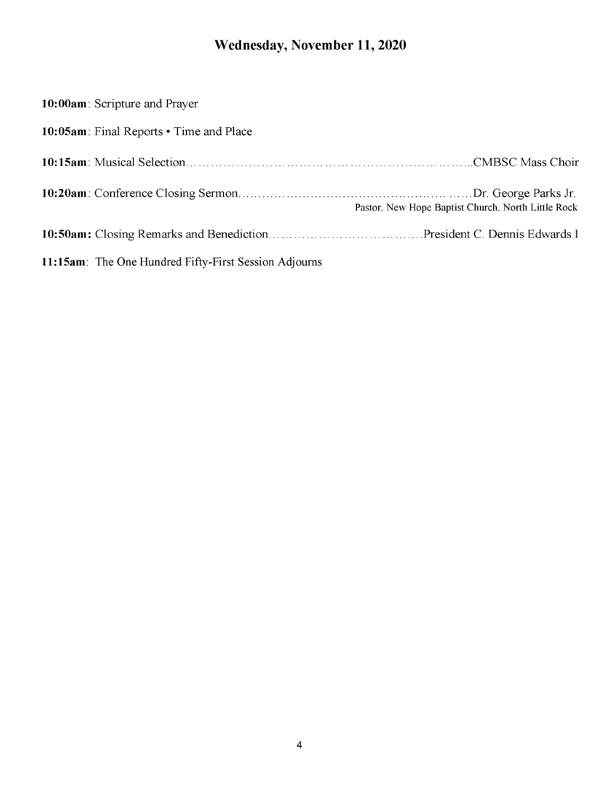## **Wednesday, November 11, 2020**

| 10:00am: Scripture and Prayer                                 |
|---------------------------------------------------------------|
| 10:05am: Final Reports • Time and Place                       |
|                                                               |
| Pastor, New Hope Baptist Church, North Little Rock            |
|                                                               |
| <b>11:15am</b> : The One Hundred Fifty-First Session Adjourns |